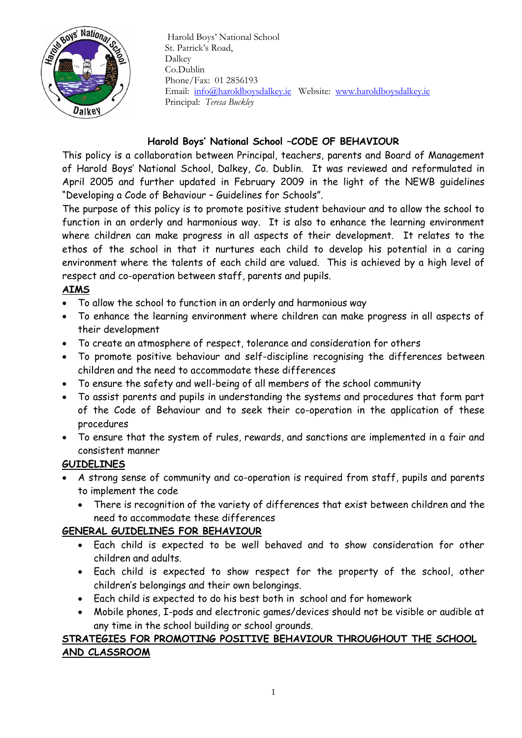

 Harold Boys' National School St. Patrick's Road, Dalkey Co.Dublin Phone/Fax: 01 2856193 Email: [info@haroldboysdalkey.ie](mailto:info@haroldboysdalkey.ie) Website: [www.haroldboysdalkey.ie](http://www.haroldboysdalkey.ie/) Principal: *Teresa Buckley*

#### **Harold Boys' National School –CODE OF BEHAVIOUR**

This policy is a collaboration between Principal, teachers, parents and Board of Management of Harold Boys' National School, Dalkey, Co. Dublin. It was reviewed and reformulated in April 2005 and further updated in February 2009 in the light of the NEWB guidelines "Developing a Code of Behaviour – Guidelines for Schools".

The purpose of this policy is to promote positive student behaviour and to allow the school to function in an orderly and harmonious way. It is also to enhance the learning environment where children can make progress in all aspects of their development. It relates to the ethos of the school in that it nurtures each child to develop his potential in a caring environment where the talents of each child are valued. This is achieved by a high level of respect and co-operation between staff, parents and pupils.

#### **AIMS**

- To allow the school to function in an orderly and harmonious way
- To enhance the learning environment where children can make progress in all aspects of their development
- To create an atmosphere of respect, tolerance and consideration for others
- To promote positive behaviour and self-discipline recognising the differences between children and the need to accommodate these differences
- To ensure the safety and well-being of all members of the school community
- To assist parents and pupils in understanding the systems and procedures that form part of the Code of Behaviour and to seek their co-operation in the application of these procedures
- To ensure that the system of rules, rewards, and sanctions are implemented in a fair and consistent manner

# **GUIDELINES**

- A strong sense of community and co-operation is required from staff, pupils and parents to implement the code
	- There is recognition of the variety of differences that exist between children and the need to accommodate these differences

# **GENERAL GUIDELINES FOR BEHAVIOUR**

- Each child is expected to be well behaved and to show consideration for other children and adults.
- Each child is expected to show respect for the property of the school, other children's belongings and their own belongings.
- Each child is expected to do his best both in school and for homework
- Mobile phones, I-pods and electronic games/devices should not be visible or audible at any time in the school building or school grounds.

## **STRATEGIES FOR PROMOTING POSITIVE BEHAVIOUR THROUGHOUT THE SCHOOL AND CLASSROOM**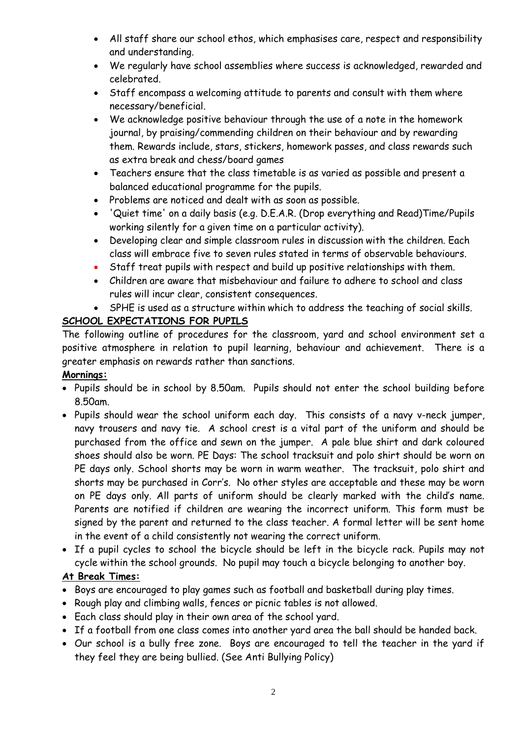- All staff share our school ethos, which emphasises care, respect and responsibility and understanding.
- We regularly have school assemblies where success is acknowledged, rewarded and celebrated.
- Staff encompass a welcoming attitude to parents and consult with them where necessary/beneficial.
- We acknowledge positive behaviour through the use of a note in the homework journal, by praising/commending children on their behaviour and by rewarding them. Rewards include, stars, stickers, homework passes, and class rewards such as extra break and chess/board games
- Teachers ensure that the class timetable is as varied as possible and present a balanced educational programme for the pupils.
- Problems are noticed and dealt with as soon as possible.
- 'Quiet time' on a daily basis (e.g. D.E.A.R. (Drop everything and Read)Time/Pupils working silently for a given time on a particular activity).
- Developing clear and simple classroom rules in discussion with the children. Each class will embrace five to seven rules stated in terms of observable behaviours.
- Staff treat pupils with respect and build up positive relationships with them.
- Children are aware that misbehaviour and failure to adhere to school and class rules will incur clear, consistent consequences.
- SPHE is used as a structure within which to address the teaching of social skills.

# **SCHOOL EXPECTATIONS FOR PUPILS**

The following outline of procedures for the classroom, yard and school environment set a positive atmosphere in relation to pupil learning, behaviour and achievement. There is a greater emphasis on rewards rather than sanctions.

# **Mornings:**

- Pupils should be in school by 8.50am. Pupils should not enter the school building before 8.50am.
- Pupils should wear the school uniform each day. This consists of a navy v-neck jumper, navy trousers and navy tie. A school crest is a vital part of the uniform and should be purchased from the office and sewn on the jumper. A pale blue shirt and dark coloured shoes should also be worn. PE Days: The school tracksuit and polo shirt should be worn on PE days only. School shorts may be worn in warm weather. The tracksuit, polo shirt and shorts may be purchased in Corr's. No other styles are acceptable and these may be worn on PE days only. All parts of uniform should be clearly marked with the child's name. Parents are notified if children are wearing the incorrect uniform. This form must be signed by the parent and returned to the class teacher. A formal letter will be sent home in the event of a child consistently not wearing the correct uniform.
- If a pupil cycles to school the bicycle should be left in the bicycle rack. Pupils may not cycle within the school grounds. No pupil may touch a bicycle belonging to another boy.

# **At Break Times:**

- Boys are encouraged to play games such as football and basketball during play times.
- Rough play and climbing walls, fences or picnic tables is not allowed.
- Each class should play in their own area of the school yard.
- If a football from one class comes into another yard area the ball should be handed back.
- Our school is a bully free zone. Boys are encouraged to tell the teacher in the yard if they feel they are being bullied. (See Anti Bullying Policy)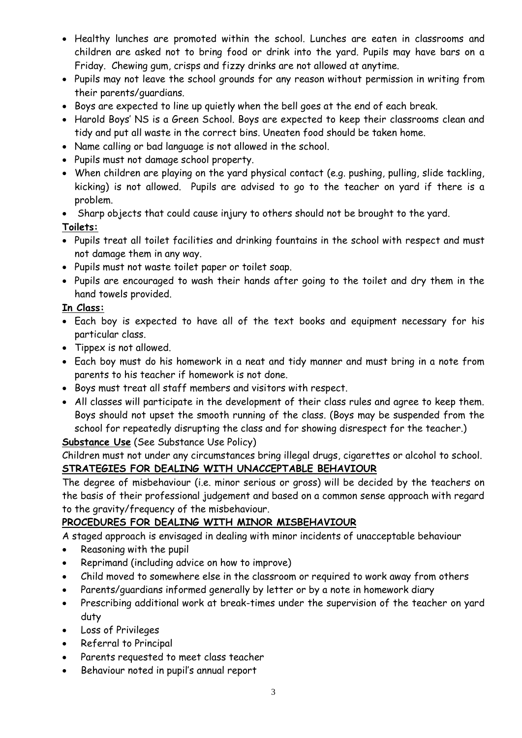- Healthy lunches are promoted within the school. Lunches are eaten in classrooms and children are asked not to bring food or drink into the yard. Pupils may have bars on a Friday. Chewing gum, crisps and fizzy drinks are not allowed at anytime.
- Pupils may not leave the school grounds for any reason without permission in writing from their parents/guardians.
- Boys are expected to line up quietly when the bell goes at the end of each break.
- Harold Boys' NS is a Green School. Boys are expected to keep their classrooms clean and tidy and put all waste in the correct bins. Uneaten food should be taken home.
- Name calling or bad language is not allowed in the school.
- Pupils must not damage school property.
- When children are playing on the yard physical contact (e.g. pushing, pulling, slide tackling, kicking) is not allowed. Pupils are advised to go to the teacher on yard if there is a problem.
- Sharp objects that could cause injury to others should not be brought to the yard.

# **Toilets:**

- Pupils treat all toilet facilities and drinking fountains in the school with respect and must not damage them in any way.
- Pupils must not waste toilet paper or toilet soap.
- Pupils are encouraged to wash their hands after going to the toilet and dry them in the hand towels provided.

## **In Class:**

- Each boy is expected to have all of the text books and equipment necessary for his particular class.
- Tippex is not allowed.
- Each boy must do his homework in a neat and tidy manner and must bring in a note from parents to his teacher if homework is not done.
- Boys must treat all staff members and visitors with respect.
- All classes will participate in the development of their class rules and agree to keep them. Boys should not upset the smooth running of the class. (Boys may be suspended from the school for repeatedly disrupting the class and for showing disrespect for the teacher.)

# **Substance Use** (See Substance Use Policy)

Children must not under any circumstances bring illegal drugs, cigarettes or alcohol to school. **STRATEGIES FOR DEALING WITH UNACCEPTABLE BEHAVIOUR** 

The degree of misbehaviour (i.e. minor serious or gross) will be decided by the teachers on the basis of their professional judgement and based on a common sense approach with regard to the gravity/frequency of the misbehaviour.

# **PROCEDURES FOR DEALING WITH MINOR MISBEHAVIOUR**

A staged approach is envisaged in dealing with minor incidents of unacceptable behaviour

- Reasoning with the pupil
- Reprimand (including advice on how to improve)
- Child moved to somewhere else in the classroom or required to work away from others
- Parents/guardians informed generally by letter or by a note in homework diary
- Prescribing additional work at break-times under the supervision of the teacher on yard duty
- Loss of Privileges
- Referral to Principal
- Parents requested to meet class teacher
- Behaviour noted in pupil's annual report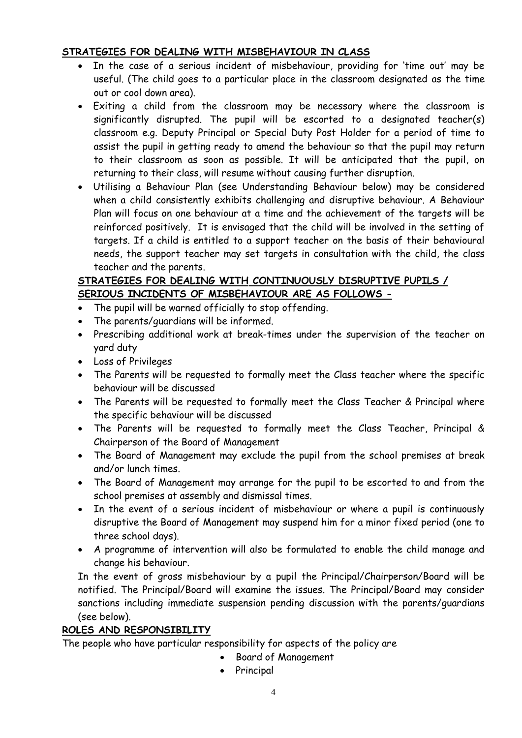#### **STRATEGIES FOR DEALING WITH MISBEHAVIOUR IN CLASS**

- In the case of a serious incident of misbehaviour, providing for 'time out' may be useful. (The child goes to a particular place in the classroom designated as the time out or cool down area).
- Exiting a child from the classroom may be necessary where the classroom is significantly disrupted. The pupil will be escorted to a designated teacher(s) classroom e.g. Deputy Principal or Special Duty Post Holder for a period of time to assist the pupil in getting ready to amend the behaviour so that the pupil may return to their classroom as soon as possible. It will be anticipated that the pupil, on returning to their class, will resume without causing further disruption.
- Utilising a Behaviour Plan (see Understanding Behaviour below) may be considered when a child consistently exhibits challenging and disruptive behaviour. A Behaviour Plan will focus on one behaviour at a time and the achievement of the targets will be reinforced positively. It is envisaged that the child will be involved in the setting of targets. If a child is entitled to a support teacher on the basis of their behavioural needs, the support teacher may set targets in consultation with the child, the class teacher and the parents.

## **STRATEGIES FOR DEALING WITH CONTINUOUSLY DISRUPTIVE PUPILS / SERIOUS INCIDENTS OF MISBEHAVIOUR ARE AS FOLLOWS -**

- The pupil will be warned officially to stop offending.
- The parents/guardians will be informed.
- Prescribing additional work at break-times under the supervision of the teacher on yard duty
- Loss of Privileges
- The Parents will be requested to formally meet the Class teacher where the specific behaviour will be discussed
- The Parents will be requested to formally meet the Class Teacher & Principal where the specific behaviour will be discussed
- The Parents will be requested to formally meet the Class Teacher, Principal & Chairperson of the Board of Management
- The Board of Management may exclude the pupil from the school premises at break and/or lunch times.
- The Board of Management may arrange for the pupil to be escorted to and from the school premises at assembly and dismissal times.
- In the event of a serious incident of misbehaviour or where a pupil is continuously disruptive the Board of Management may suspend him for a minor fixed period (one to three school days).
- A programme of intervention will also be formulated to enable the child manage and change his behaviour.

In the event of gross misbehaviour by a pupil the Principal/Chairperson/Board will be notified. The Principal/Board will examine the issues. The Principal/Board may consider sanctions including immediate suspension pending discussion with the parents/guardians (see below).

#### **ROLES AND RESPONSIBILITY**

The people who have particular responsibility for aspects of the policy are

- Board of Management
- Principal